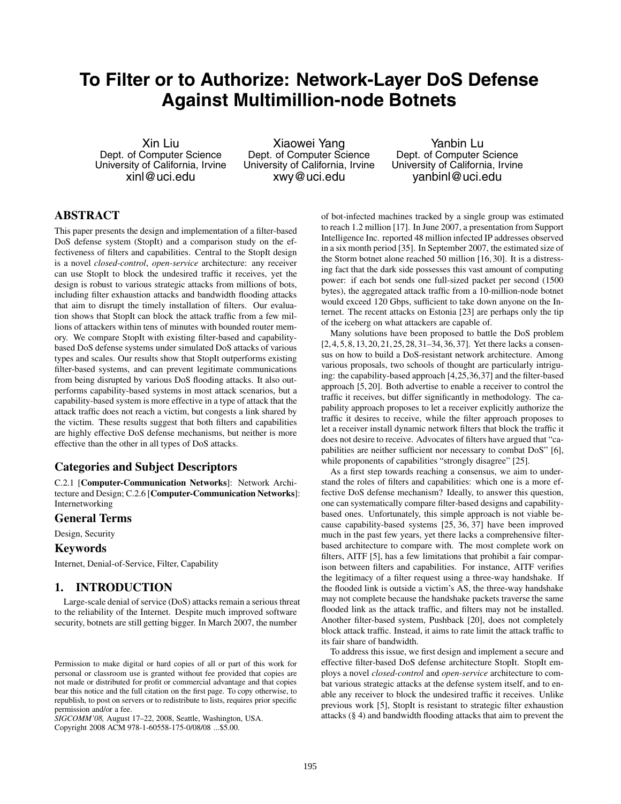# **To Filter or to Authorize: Network-Layer DoS Defense Against Multimillion-node Botnets**

Xin Liu Dept. of Computer Science University of California, Irvine xinl@uci.edu

Xiaowei Yang Dept. of Computer Science University of California, Irvine xwy@uci.edu

Yanbin Lu Dept. of Computer Science University of California, Irvine yanbinl@uci.edu

# **ABSTRACT**

This paper presents the design and implementation of a filter-based DoS defense system (StopIt) and a comparison study on the effectiveness of filters and capabilities. Central to the StopIt design is a novel *closed-control*, *open-service* architecture: any receiver can use StopIt to block the undesired traffic it receives, yet the design is robust to various strategic attacks from millions of bots, including filter exhaustion attacks and bandwidth flooding attacks that aim to disrupt the timely installation of filters. Our evaluation shows that StopIt can block the attack traffic from a few millions of attackers within tens of minutes with bounded router memory. We compare StopIt with existing filter-based and capabilitybased DoS defense systems under simulated DoS attacks of various types and scales. Our results show that StopIt outperforms existing filter-based systems, and can prevent legitimate communications from being disrupted by various DoS flooding attacks. It also outperforms capability-based systems in most attack scenarios, but a capability-based system is more effective in a type of attack that the attack traffic does not reach a victim, but congests a link shared by the victim. These results suggest that both filters and capabilities are highly effective DoS defense mechanisms, but neither is more effective than the other in all types of DoS attacks.

# **Categories and Subject Descriptors**

C.2.1 [**Computer-Communication Networks**]: Network Architecture and Design; C.2.6 [**Computer-Communication Networks**]: Internetworking

# **General Terms**

Design, Security

## **Keywords**

Internet, Denial-of-Service, Filter, Capability

# **1. INTRODUCTION**

Large-scale denial of service (DoS) attacks remain a serious threat to the reliability of the Internet. Despite much improved software security, botnets are still getting bigger. In March 2007, the number

*SIGCOMM'08,* August 17–22, 2008, Seattle, Washington, USA. Copyright 2008 ACM 978-1-60558-175-0/08/08 ...\$5.00.

of bot-infected machines tracked by a single group was estimated to reach 1.2 million [17]. In June 2007, a presentation from Support Intelligence Inc. reported 48 million infected IP addresses observed in a six month period [35]. In September 2007, the estimated size of the Storm botnet alone reached 50 million [16, 30]. It is a distressing fact that the dark side possesses this vast amount of computing power: if each bot sends one full-sized packet per second (1500 bytes), the aggregated attack traffic from a 10-million-node botnet would exceed 120 Gbps, sufficient to take down anyone on the Internet. The recent attacks on Estonia [23] are perhaps only the tip of the iceberg on what attackers are capable of.

Many solutions have been proposed to battle the DoS problem [2, 4, 5, 8, 13, 20, 21, 25, 28, 31–34, 36, 37]. Yet there lacks a consensus on how to build a DoS-resistant network architecture. Among various proposals, two schools of thought are particularly intriguing: the capability-based approach [4,25,36,37] and the filter-based approach [5, 20]. Both advertise to enable a receiver to control the traffic it receives, but differ significantly in methodology. The capability approach proposes to let a receiver explicitly authorize the traffic it desires to receive, while the filter approach proposes to let a receiver install dynamic network filters that block the traffic it does not desire to receive. Advocates of filters have argued that "capabilities are neither sufficient nor necessary to combat DoS" [6], while proponents of capabilities "strongly disagree" [25].

As a first step towards reaching a consensus, we aim to understand the roles of filters and capabilities: which one is a more effective DoS defense mechanism? Ideally, to answer this question, one can systematically compare filter-based designs and capabilitybased ones. Unfortunately, this simple approach is not viable because capability-based systems [25, 36, 37] have been improved much in the past few years, yet there lacks a comprehensive filterbased architecture to compare with. The most complete work on filters, AITF [5], has a few limitations that prohibit a fair comparison between filters and capabilities. For instance, AITF verifies the legitimacy of a filter request using a three-way handshake. If the flooded link is outside a victim's AS, the three-way handshake may not complete because the handshake packets traverse the same flooded link as the attack traffic, and filters may not be installed. Another filter-based system, Pushback [20], does not completely block attack traffic. Instead, it aims to rate limit the attack traffic to its fair share of bandwidth.

To address this issue, we first design and implement a secure and effective filter-based DoS defense architecture StopIt. StopIt employs a novel *closed-control* and *open-service* architecture to combat various strategic attacks at the defense system itself, and to enable any receiver to block the undesired traffic it receives. Unlike previous work [5], StopIt is resistant to strategic filter exhaustion attacks (§ 4) and bandwidth flooding attacks that aim to prevent the

Permission to make digital or hard copies of all or part of this work for personal or classroom use is granted without fee provided that copies are not made or distributed for profit or commercial advantage and that copies bear this notice and the full citation on the first page. To copy otherwise, to republish, to post on servers or to redistribute to lists, requires prior specific permission and/or a fee.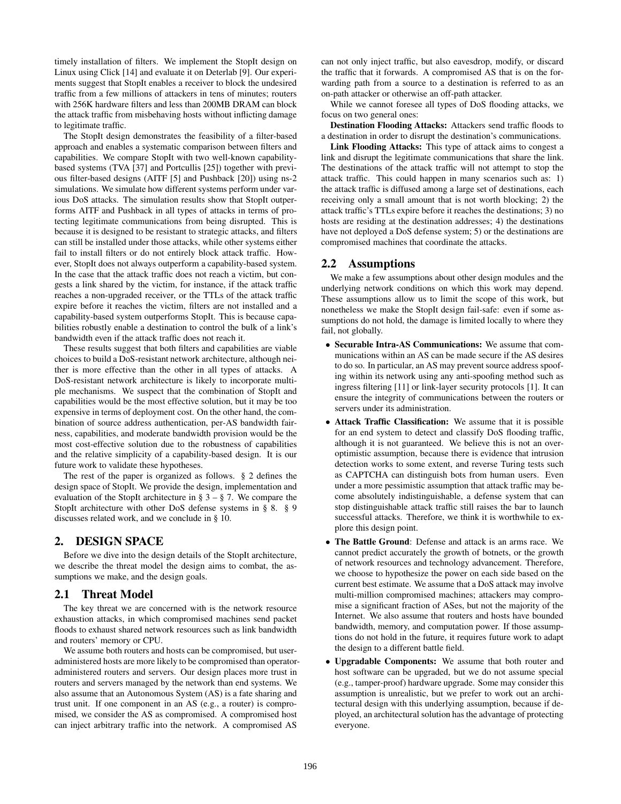timely installation of filters. We implement the StopIt design on Linux using Click [14] and evaluate it on Deterlab [9]. Our experiments suggest that StopIt enables a receiver to block the undesired traffic from a few millions of attackers in tens of minutes; routers with 256K hardware filters and less than 200MB DRAM can block the attack traffic from misbehaving hosts without inflicting damage to legitimate traffic.

The StopIt design demonstrates the feasibility of a filter-based approach and enables a systematic comparison between filters and capabilities. We compare StopIt with two well-known capabilitybased systems (TVA [37] and Portcullis [25]) together with previous filter-based designs (AITF [5] and Pushback [20]) using ns-2 simulations. We simulate how different systems perform under various DoS attacks. The simulation results show that StopIt outperforms AITF and Pushback in all types of attacks in terms of protecting legitimate communications from being disrupted. This is because it is designed to be resistant to strategic attacks, and filters can still be installed under those attacks, while other systems either fail to install filters or do not entirely block attack traffic. However, StopIt does not always outperform a capability-based system. In the case that the attack traffic does not reach a victim, but congests a link shared by the victim, for instance, if the attack traffic reaches a non-upgraded receiver, or the TTLs of the attack traffic expire before it reaches the victim, filters are not installed and a capability-based system outperforms StopIt. This is because capabilities robustly enable a destination to control the bulk of a link's bandwidth even if the attack traffic does not reach it.

These results suggest that both filters and capabilities are viable choices to build a DoS-resistant network architecture, although neither is more effective than the other in all types of attacks. A DoS-resistant network architecture is likely to incorporate multiple mechanisms. We suspect that the combination of StopIt and capabilities would be the most effective solution, but it may be too expensive in terms of deployment cost. On the other hand, the combination of source address authentication, per-AS bandwidth fairness, capabilities, and moderate bandwidth provision would be the most cost-effective solution due to the robustness of capabilities and the relative simplicity of a capability-based design. It is our future work to validate these hypotheses.

The rest of the paper is organized as follows. § 2 defines the design space of StopIt. We provide the design, implementation and evaluation of the StopIt architecture in  $\S$  3 –  $\S$  7. We compare the StopIt architecture with other DoS defense systems in § 8. § 9 discusses related work, and we conclude in § 10.

# **2. DESIGN SPACE**

Before we dive into the design details of the StopIt architecture, we describe the threat model the design aims to combat, the assumptions we make, and the design goals.

## **2.1 Threat Model**

The key threat we are concerned with is the network resource exhaustion attacks, in which compromised machines send packet floods to exhaust shared network resources such as link bandwidth and routers' memory or CPU.

We assume both routers and hosts can be compromised, but useradministered hosts are more likely to be compromised than operatoradministered routers and servers. Our design places more trust in routers and servers managed by the network than end systems. We also assume that an Autonomous System (AS) is a fate sharing and trust unit. If one component in an AS (e.g., a router) is compromised, we consider the AS as compromised. A compromised host can inject arbitrary traffic into the network. A compromised AS

can not only inject traffic, but also eavesdrop, modify, or discard the traffic that it forwards. A compromised AS that is on the forwarding path from a source to a destination is referred to as an on-path attacker or otherwise an off-path attacker.

While we cannot foresee all types of DoS flooding attacks, we focus on two general ones:

**Destination Flooding Attacks:** Attackers send traffic floods to a destination in order to disrupt the destination's communications.

**Link Flooding Attacks:** This type of attack aims to congest a link and disrupt the legitimate communications that share the link. The destinations of the attack traffic will not attempt to stop the attack traffic. This could happen in many scenarios such as: 1) the attack traffic is diffused among a large set of destinations, each receiving only a small amount that is not worth blocking; 2) the attack traffic's TTLs expire before it reaches the destinations; 3) no hosts are residing at the destination addresses; 4) the destinations have not deployed a DoS defense system; 5) or the destinations are compromised machines that coordinate the attacks.

# **2.2 Assumptions**

We make a few assumptions about other design modules and the underlying network conditions on which this work may depend. These assumptions allow us to limit the scope of this work, but nonetheless we make the StopIt design fail-safe: even if some assumptions do not hold, the damage is limited locally to where they fail, not globally.

- **Securable Intra-AS Communications:** We assume that communications within an AS can be made secure if the AS desires to do so. In particular, an AS may prevent source address spoofing within its network using any anti-spoofing method such as ingress filtering [11] or link-layer security protocols [1]. It can ensure the integrity of communications between the routers or servers under its administration.
- **Attack Traffic Classification:** We assume that it is possible for an end system to detect and classify DoS flooding traffic, although it is not guaranteed. We believe this is not an overoptimistic assumption, because there is evidence that intrusion detection works to some extent, and reverse Turing tests such as CAPTCHA can distinguish bots from human users. Even under a more pessimistic assumption that attack traffic may become absolutely indistinguishable, a defense system that can stop distinguishable attack traffic still raises the bar to launch successful attacks. Therefore, we think it is worthwhile to explore this design point.
- **The Battle Ground**: Defense and attack is an arms race. We cannot predict accurately the growth of botnets, or the growth of network resources and technology advancement. Therefore, we choose to hypothesize the power on each side based on the current best estimate. We assume that a DoS attack may involve multi-million compromised machines; attackers may compromise a significant fraction of ASes, but not the majority of the Internet. We also assume that routers and hosts have bounded bandwidth, memory, and computation power. If those assumptions do not hold in the future, it requires future work to adapt the design to a different battle field.
- **Upgradable Components:** We assume that both router and host software can be upgraded, but we do not assume special (e.g., tamper-proof) hardware upgrade. Some may consider this assumption is unrealistic, but we prefer to work out an architectural design with this underlying assumption, because if deployed, an architectural solution has the advantage of protecting everyone.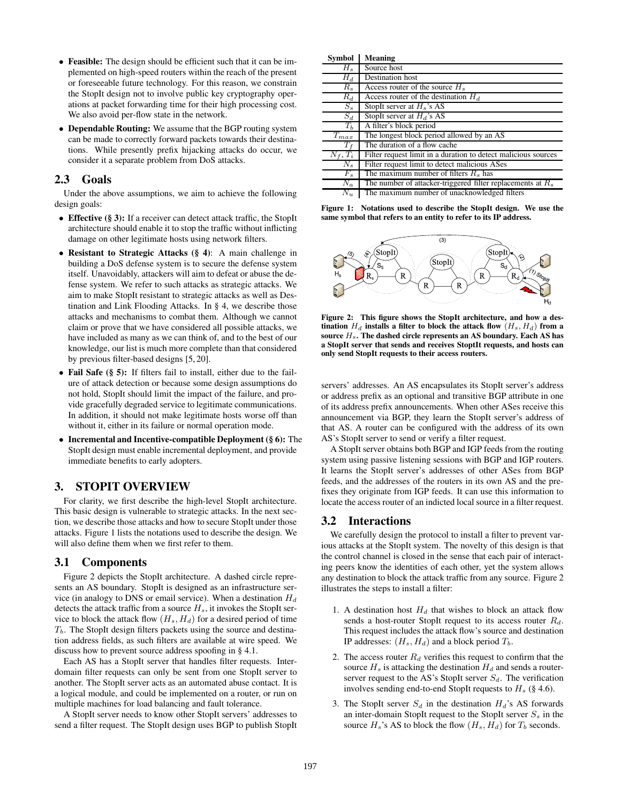- **Feasible:** The design should be efficient such that it can be implemented on high-speed routers within the reach of the present or foreseeable future technology. For this reason, we constrain the StopIt design not to involve public key cryptography operations at packet forwarding time for their high processing cost. We also avoid per-flow state in the network.
- **Dependable Routing:** We assume that the BGP routing system can be made to correctly forward packets towards their destinations. While presently prefix hijacking attacks do occur, we consider it a separate problem from DoS attacks.

# **2.3 Goals**

Under the above assumptions, we aim to achieve the following design goals:

- **Effective (§ 3):** If a receiver can detect attack traffic, the StopIt architecture should enable it to stop the traffic without inflicting damage on other legitimate hosts using network filters.
- **Resistant to Strategic Attacks (§ 4)**: A main challenge in building a DoS defense system is to secure the defense system itself. Unavoidably, attackers will aim to defeat or abuse the defense system. We refer to such attacks as strategic attacks. We aim to make StopIt resistant to strategic attacks as well as Destination and Link Flooding Attacks. In § 4, we describe those attacks and mechanisms to combat them. Although we cannot claim or prove that we have considered all possible attacks, we have included as many as we can think of, and to the best of our knowledge, our list is much more complete than that considered by previous filter-based designs [5, 20].
- **Fail Safe (§ 5):** If filters fail to install, either due to the failure of attack detection or because some design assumptions do not hold, StopIt should limit the impact of the failure, and provide gracefully degraded service to legitimate communications. In addition, it should not make legitimate hosts worse off than without it, either in its failure or normal operation mode.
- **Incremental and Incentive-compatible Deployment (§ 6):** The StopIt design must enable incremental deployment, and provide immediate benefits to early adopters.

# **3. STOPIT OVERVIEW**

For clarity, we first describe the high-level StopIt architecture. This basic design is vulnerable to strategic attacks. In the next section, we describe those attacks and how to secure StopIt under those attacks. Figure 1 lists the notations used to describe the design. We will also define them when we first refer to them.

#### **3.1 Components**

Figure 2 depicts the StopIt architecture. A dashed circle represents an AS boundary. StopIt is designed as an infrastructure service (in analogy to DNS or email service). When a destination *H<sup>d</sup>* detects the attack traffic from a source  $H_s$ , it invokes the StopIt service to block the attack flow  $(H_s, H_d)$  for a desired period of time  $T_b$ . The StopIt design filters packets using the source and destination address fields, as such filters are available at wire speed. We discuss how to prevent source address spoofing in § 4.1.

Each AS has a StopIt server that handles filter requests. Interdomain filter requests can only be sent from one StopIt server to another. The StopIt server acts as an automated abuse contact. It is a logical module, and could be implemented on a router, or run on multiple machines for load balancing and fault tolerance.

A StopIt server needs to know other StopIt servers' addresses to send a filter request. The StopIt design uses BGP to publish StopIt

| <b>Symbol</b> | Meaning                                                        |
|---------------|----------------------------------------------------------------|
| $H_s$         | Source host                                                    |
| $H_d$         | Destination host                                               |
| $R_s$         | Access router of the source $H_s$                              |
| $\bar{R}_d$   | Access router of the destination $H_d$                         |
| $S_{s}$       | StopIt server at $H_s$ 's AS                                   |
| $S_d$         | StopIt server at $H_d$ 's AS                                   |
| $T_h$         | A filter's block period                                        |
| $T_{max}$     | The longest block period allowed by an AS                      |
| $T_{\it f}$   | The duration of a flow cache                                   |
| $N_f, T_i$    | Filter request limit in a duration to detect malicious sources |
| $N_{s}$       | Filter request limit to detect malicious ASes                  |
| $F_s$         | The maximum number of filters $R_s$ has                        |
| $N_a$         | The number of attacker-triggered filter replacements at $R_s$  |
| $N_u$         | The maximum number of unacknowledged filters                   |

**Figure 1: Notations used to describe the StopIt design. We use the same symbol that refers to an entity to refer to its IP address.**



**Figure 2: This figure shows the StopIt architecture, and how a destination**  $H_d$  **installs a filter to block the attack flow**  $(H_s, H_d)$  from a **source** *Hs***. The dashed circle represents an AS boundary. Each AS has a StopIt server that sends and receives StoptIt requests, and hosts can only send StopIt requests to their access routers.**

servers' addresses. An AS encapsulates its StopIt server's address or address prefix as an optional and transitive BGP attribute in one of its address prefix announcements. When other ASes receive this announcement via BGP, they learn the StopIt server's address of that AS. A router can be configured with the address of its own AS's StopIt server to send or verify a filter request.

A StopIt server obtains both BGP and IGP feeds from the routing system using passive listening sessions with BGP and IGP routers. It learns the StopIt server's addresses of other ASes from BGP feeds, and the addresses of the routers in its own AS and the prefixes they originate from IGP feeds. It can use this information to locate the access router of an indicted local source in a filter request.

# **3.2 Interactions**

We carefully design the protocol to install a filter to prevent various attacks at the StopIt system. The novelty of this design is that the control channel is closed in the sense that each pair of interacting peers know the identities of each other, yet the system allows any destination to block the attack traffic from any source. Figure 2 illustrates the steps to install a filter:

- 1. A destination host  $H_d$  that wishes to block an attack flow sends a host-router StopIt request to its access router *Rd*. This request includes the attack flow's source and destination IP addresses:  $(H_s, H_d)$  and a block period  $T_b$ .
- 2. The access router  $R_d$  verifies this request to confirm that the source  $H_s$  is attacking the destination  $H_d$  and sends a routerserver request to the AS's StopIt server  $S_d$ . The verification involves sending end-to-end StopIt requests to *H<sup>s</sup>* (§ 4.6).
- 3. The StopIt server  $S_d$  in the destination  $H_d$ 's AS forwards an inter-domain StopIt request to the StopIt server *S<sup>s</sup>* in the source  $H_s$ 's AS to block the flow  $(H_s, H_d)$  for  $T_b$  seconds.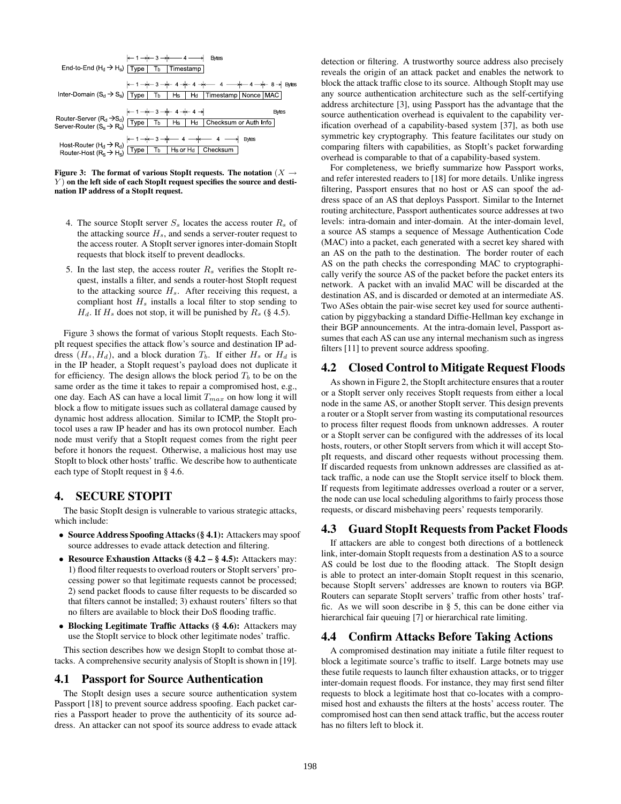

**Figure 3:** The format of various StopIt requests. The notation  $(X \rightarrow$ *Y* ) **on the left side of each StopIt request specifies the source and destination IP address of a StopIt request.**

- 4. The source StopIt server *S<sup>s</sup>* locates the access router *R<sup>s</sup>* of the attacking source  $H_s$ , and sends a server-router request to the access router. A StopIt server ignores inter-domain StopIt requests that block itself to prevent deadlocks.
- 5. In the last step, the access router *R<sup>s</sup>* verifies the StopIt request, installs a filter, and sends a router-host StopIt request to the attacking source *Hs*. After receiving this request, a compliant host  $H_s$  installs a local filter to stop sending to *H<sub>d</sub>*. If *H<sub>s</sub>* does not stop, it will be punished by  $R_s$  (§ 4.5).

Figure 3 shows the format of various StopIt requests. Each StopIt request specifies the attack flow's source and destination IP address  $(H_s, H_d)$ , and a block duration  $T_b$ . If either  $H_s$  or  $H_d$  is in the IP header, a StopIt request's payload does not duplicate it for efficiency. The design allows the block period  $T<sub>b</sub>$  to be on the same order as the time it takes to repair a compromised host, e.g., one day. Each AS can have a local limit *Tmax* on how long it will block a flow to mitigate issues such as collateral damage caused by dynamic host address allocation. Similar to ICMP, the StopIt protocol uses a raw IP header and has its own protocol number. Each node must verify that a StopIt request comes from the right peer before it honors the request. Otherwise, a malicious host may use StopIt to block other hosts' traffic. We describe how to authenticate each type of StopIt request in § 4.6.

# **4. SECURE STOPIT**

The basic StopIt design is vulnerable to various strategic attacks, which include:

- **Source Address Spoofing Attacks (§ 4.1):** Attackers may spoof source addresses to evade attack detection and filtering.
- **Resource Exhaustion Attacks (§ 4.2 § 4.5):** Attackers may: 1) flood filter requests to overload routers or StopIt servers' processing power so that legitimate requests cannot be processed; 2) send packet floods to cause filter requests to be discarded so that filters cannot be installed; 3) exhaust routers' filters so that no filters are available to block their DoS flooding traffic.
- **Blocking Legitimate Traffic Attacks (§ 4.6):** Attackers may use the StopIt service to block other legitimate nodes' traffic.

This section describes how we design StopIt to combat those attacks. A comprehensive security analysis of StopIt is shown in [19].

# **4.1 Passport for Source Authentication**

The StopIt design uses a secure source authentication system Passport [18] to prevent source address spoofing. Each packet carries a Passport header to prove the authenticity of its source address. An attacker can not spoof its source address to evade attack detection or filtering. A trustworthy source address also precisely reveals the origin of an attack packet and enables the network to block the attack traffic close to its source. Although StopIt may use any source authentication architecture such as the self-certifying address architecture [3], using Passport has the advantage that the source authentication overhead is equivalent to the capability verification overhead of a capability-based system [37], as both use symmetric key cryptography. This feature facilitates our study on comparing filters with capabilities, as StopIt's packet forwarding overhead is comparable to that of a capability-based system.

For completeness, we briefly summarize how Passport works, and refer interested readers to [18] for more details. Unlike ingress filtering, Passport ensures that no host or AS can spoof the address space of an AS that deploys Passport. Similar to the Internet routing architecture, Passport authenticates source addresses at two levels: intra-domain and inter-domain. At the inter-domain level, a source AS stamps a sequence of Message Authentication Code (MAC) into a packet, each generated with a secret key shared with an AS on the path to the destination. The border router of each AS on the path checks the corresponding MAC to cryptographically verify the source AS of the packet before the packet enters its network. A packet with an invalid MAC will be discarded at the destination AS, and is discarded or demoted at an intermediate AS. Two ASes obtain the pair-wise secret key used for source authentication by piggybacking a standard Diffie-Hellman key exchange in their BGP announcements. At the intra-domain level, Passport assumes that each AS can use any internal mechanism such as ingress filters [11] to prevent source address spoofing.

# **4.2 Closed Control to Mitigate Request Floods**

As shown in Figure 2, the StopIt architecture ensures that a router or a StopIt server only receives StopIt requests from either a local node in the same AS, or another StopIt server. This design prevents a router or a StopIt server from wasting its computational resources to process filter request floods from unknown addresses. A router or a StopIt server can be configured with the addresses of its local hosts, routers, or other StopIt servers from which it will accept StopIt requests, and discard other requests without processing them. If discarded requests from unknown addresses are classified as attack traffic, a node can use the StopIt service itself to block them. If requests from legitimate addresses overload a router or a server, the node can use local scheduling algorithms to fairly process those requests, or discard misbehaving peers' requests temporarily.

# **4.3 Guard StopIt Requests from Packet Floods**

If attackers are able to congest both directions of a bottleneck link, inter-domain StopIt requests from a destination AS to a source AS could be lost due to the flooding attack. The StopIt design is able to protect an inter-domain StopIt request in this scenario, because StopIt servers' addresses are known to routers via BGP. Routers can separate StopIt servers' traffic from other hosts' traffic. As we will soon describe in § 5, this can be done either via hierarchical fair queuing [7] or hierarchical rate limiting.

# **4.4 Confirm Attacks Before Taking Actions**

A compromised destination may initiate a futile filter request to block a legitimate source's traffic to itself. Large botnets may use these futile requests to launch filter exhaustion attacks, or to trigger inter-domain request floods. For instance, they may first send filter requests to block a legitimate host that co-locates with a compromised host and exhausts the filters at the hosts' access router. The compromised host can then send attack traffic, but the access router has no filters left to block it.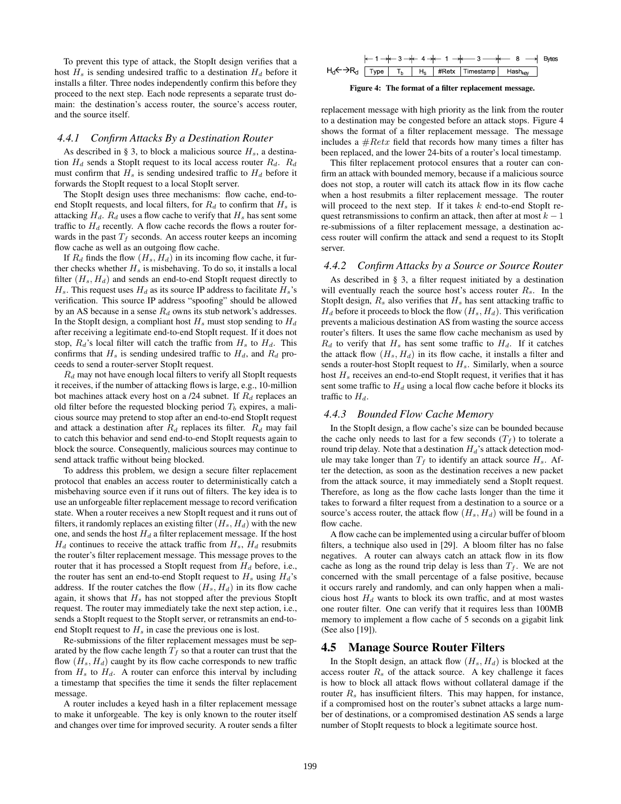To prevent this type of attack, the StopIt design verifies that a host  $H_s$  is sending undesired traffic to a destination  $H_d$  before it installs a filter. Three nodes independently confirm this before they proceed to the next step. Each node represents a separate trust domain: the destination's access router, the source's access router, and the source itself.

#### *4.4.1 Confirm Attacks By a Destination Router*

As described in § 3, to block a malicious source  $H_s$ , a destination *H<sup>d</sup>* sends a StopIt request to its local access router *Rd*. *R<sup>d</sup>* must confirm that  $H_s$  is sending undesired traffic to  $H_d$  before it forwards the StopIt request to a local StopIt server.

The StopIt design uses three mechanisms: flow cache, end-toend StopIt requests, and local filters, for  $R_d$  to confirm that  $H_s$  is attacking  $H_d$ .  $R_d$  uses a flow cache to verify that  $H_s$  has sent some traffic to  $H_d$  recently. A flow cache records the flows a router forwards in the past  $T_f$  seconds. An access router keeps an incoming flow cache as well as an outgoing flow cache.

If  $R_d$  finds the flow  $(H_s, H_d)$  in its incoming flow cache, it further checks whether  $H_s$  is misbehaving. To do so, it installs a local filter  $(H_s, H_d)$  and sends an end-to-end StopIt request directly to  $H_s$ . This request uses  $H_d$  as its source IP address to facilitate  $H_s$ 's verification. This source IP address "spoofing" should be allowed by an AS because in a sense *R<sup>d</sup>* owns its stub network's addresses. In the StopIt design, a compliant host  $H_s$  must stop sending to  $H_d$ after receiving a legitimate end-to-end StopIt request. If it does not stop,  $R_d$ 's local filter will catch the traffic from  $H_s$  to  $H_d$ . This confirms that  $H_s$  is sending undesired traffic to  $H_d$ , and  $R_d$  proceeds to send a router-server StopIt request.

*R<sup>d</sup>* may not have enough local filters to verify all StopIt requests it receives, if the number of attacking flows is large, e.g., 10-million bot machines attack every host on a /24 subnet. If *R<sup>d</sup>* replaces an old filter before the requested blocking period  $T<sub>b</sub>$  expires, a malicious source may pretend to stop after an end-to-end StopIt request and attack a destination after  $R_d$  replaces its filter.  $R_d$  may fail to catch this behavior and send end-to-end StopIt requests again to block the source. Consequently, malicious sources may continue to send attack traffic without being blocked.

To address this problem, we design a secure filter replacement protocol that enables an access router to deterministically catch a misbehaving source even if it runs out of filters. The key idea is to use an unforgeable filter replacement message to record verification state. When a router receives a new StopIt request and it runs out of filters, it randomly replaces an existing filter  $(H_s, H_d)$  with the new one, and sends the host *H<sup>d</sup>* a filter replacement message. If the host  $H_d$  continues to receive the attack traffic from  $H_s$ ,  $H_d$  resubmits the router's filter replacement message. This message proves to the router that it has processed a StopIt request from *H<sup>d</sup>* before, i.e., the router has sent an end-to-end StopIt request to  $H_s$  using  $H_d$ 's address. If the router catches the flow  $(H_s, H_d)$  in its flow cache again, it shows that  $H_s$  has not stopped after the previous StopIt request. The router may immediately take the next step action, i.e., sends a StopIt request to the StopIt server, or retransmits an end-toend StopIt request to  $H_s$  in case the previous one is lost.

Re-submissions of the filter replacement messages must be separated by the flow cache length  $T_f$  so that a router can trust that the flow  $(H_s, H_d)$  caught by its flow cache corresponds to new traffic from  $H_s$  to  $H_d$ . A router can enforce this interval by including a timestamp that specifies the time it sends the filter replacement message.

A router includes a keyed hash in a filter replacement message to make it unforgeable. The key is only known to the router itself and changes over time for improved security. A router sends a filter



**Figure 4: The format of a filter replacement message.**

replacement message with high priority as the link from the router to a destination may be congested before an attack stops. Figure 4 shows the format of a filter replacement message. The message includes a  $#Retx$  field that records how many times a filter has been replaced, and the lower 24-bits of a router's local timestamp.

This filter replacement protocol ensures that a router can confirm an attack with bounded memory, because if a malicious source does not stop, a router will catch its attack flow in its flow cache when a host resubmits a filter replacement message. The router will proceed to the next step. If it takes *k* end-to-end StopIt request retransmissions to confirm an attack, then after at most  $k - 1$ re-submissions of a filter replacement message, a destination access router will confirm the attack and send a request to its StopIt server.

#### *4.4.2 Confirm Attacks by a Source or Source Router*

As described in § 3, a filter request initiated by a destination will eventually reach the source host's access router *Rs*. In the StopIt design,  $R_s$  also verifies that  $H_s$  has sent attacking traffic to  $H_d$  before it proceeds to block the flow  $(H_s, H_d)$ . This verification prevents a malicious destination AS from wasting the source access router's filters. It uses the same flow cache mechanism as used by  $R_d$  to verify that  $H_s$  has sent some traffic to  $H_d$ . If it catches the attack flow  $(H_s, H_d)$  in its flow cache, it installs a filter and sends a router-host StopIt request to *Hs*. Similarly, when a source host *H<sup>s</sup>* receives an end-to-end StopIt request, it verifies that it has sent some traffic to  $H_d$  using a local flow cache before it blocks its traffic to  $H_d$ .

#### *4.4.3 Bounded Flow Cache Memory*

In the StopIt design, a flow cache's size can be bounded because the cache only needs to last for a few seconds  $(T_f)$  to tolerate a round trip delay. Note that a destination *Hd*'s attack detection module may take longer than  $T_f$  to identify an attack source  $H_s$ . After the detection, as soon as the destination receives a new packet from the attack source, it may immediately send a StopIt request. Therefore, as long as the flow cache lasts longer than the time it takes to forward a filter request from a destination to a source or a source's access router, the attack flow  $(H_s, H_d)$  will be found in a flow cache.

A flow cache can be implemented using a circular buffer of bloom filters, a technique also used in [29]. A bloom filter has no false negatives. A router can always catch an attack flow in its flow cache as long as the round trip delay is less than  $T_f$ . We are not concerned with the small percentage of a false positive, because it occurs rarely and randomly, and can only happen when a malicious host *H<sup>d</sup>* wants to block its own traffic, and at most wastes one router filter. One can verify that it requires less than 100MB memory to implement a flow cache of 5 seconds on a gigabit link (See also [19]).

## **4.5 Manage Source Router Filters**

In the StopIt design, an attack flow  $(H_s, H_d)$  is blocked at the access router  $R_s$  of the attack source. A key challenge it faces is how to block all attack flows without collateral damage if the router  $R_s$  has insufficient filters. This may happen, for instance, if a compromised host on the router's subnet attacks a large number of destinations, or a compromised destination AS sends a large number of StopIt requests to block a legitimate source host.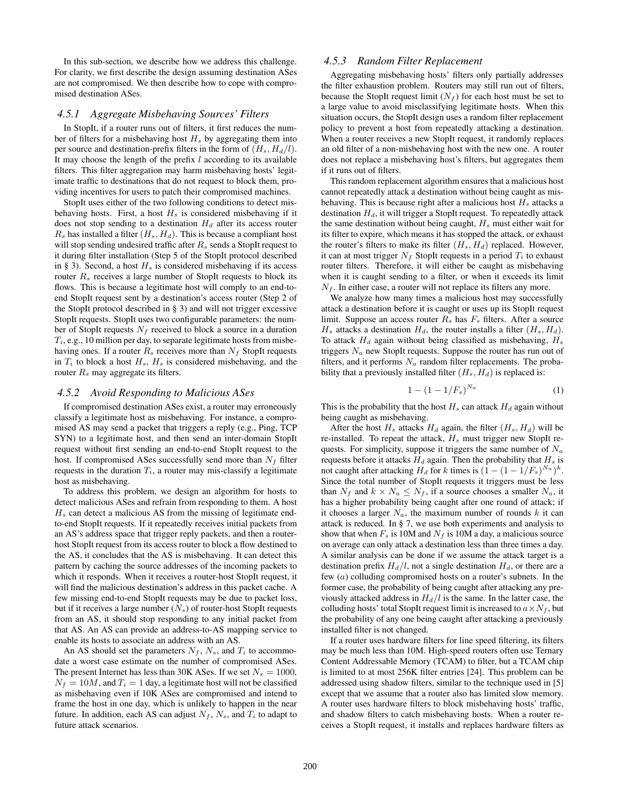In this sub-section, we describe how we address this challenge. For clarity, we first describe the design assuming destination ASes are not compromised. We then describe how to cope with compromised destination ASes.

#### *4.5.1 Aggregate Misbehaving Sources' Filters*

In StopIt, if a router runs out of filters, it first reduces the number of filters for a misbehaving host *H<sup>s</sup>* by aggregating them into per source and destination-prefix filters in the form of  $(H_s, H_d/l)$ . It may choose the length of the prefix *l* according to its available filters. This filter aggregation may harm misbehaving hosts' legitimate traffic to destinations that do not request to block them, providing incentives for users to patch their compromised machines.

StopIt uses either of the two following conditions to detect misbehaving hosts. First, a host  $H_s$  is considered misbehaving if it does not stop sending to a destination  $H_d$  after its access router  $R_s$  has installed a filter  $(H_s, H_d)$ . This is because a compliant host will stop sending undesired traffic after *R<sup>s</sup>* sends a StopIt request to it during filter installation (Step 5 of the StopIt protocol described in § 3). Second, a host  $H_s$  is considered misbehaving if its access router *R<sup>s</sup>* receives a large number of StopIt requests to block its flows. This is because a legitimate host will comply to an end-toend StopIt request sent by a destination's access router (Step 2 of the StopIt protocol described in § 3) and will not trigger excessive StopIt requests. StopIt uses two configurable parameters: the number of StopIt requests  $N_f$  received to block a source in a duration *Ti*, e.g., 10 million per day, to separate legitimate hosts from misbehaving ones. If a router  $R_s$  receives more than  $N_f$  StopIt requests in  $T_i$  to block a host  $H_s$ ,  $H_s$  is considered misbehaving, and the router *R<sup>s</sup>* may aggregate its filters.

#### *4.5.2 Avoid Responding to Malicious ASes*

If compromised destination ASes exist, a router may erroneously classify a legitimate host as misbehaving. For instance, a compromised AS may send a packet that triggers a reply (e.g., Ping, TCP SYN) to a legitimate host, and then send an inter-domain StopIt request without first sending an end-to-end StopIt request to the host. If compromised ASes successfully send more than *N<sup>f</sup>* filter requests in the duration  $T_i$ , a router may mis-classify a legitimate host as misbehaving.

To address this problem, we design an algorithm for hosts to detect malicious ASes and refrain from responding to them. A host *H<sup>s</sup>* can detect a malicious AS from the missing of legitimate endto-end StopIt requests. If it repeatedly receives initial packets from an AS's address space that trigger reply packets, and then a routerhost StopIt request from its access router to block a flow destined to the AS, it concludes that the AS is misbehaving. It can detect this pattern by caching the source addresses of the incoming packets to which it responds. When it receives a router-host StopIt request, it will find the malicious destination's address in this packet cache. A few missing end-to-end StopIt requests may be due to packet loss, but if it receives a large number  $(N_s)$  of router-host StopIt requests from an AS, it should stop responding to any initial packet from that AS. An AS can provide an address-to-AS mapping service to enable its hosts to associate an address with an AS.

An AS should set the parameters  $N_f$ ,  $N_s$ , and  $T_i$  to accommodate a worst case estimate on the number of compromised ASes. The present Internet has less than 30K ASes. If we set  $N_s = 1000$ ,  $N_f = 10M$ , and  $T_i = 1$  day, a legitimate host will not be classified as misbehaving even if 10K ASes are compromised and intend to frame the host in one day, which is unlikely to happen in the near future. In addition, each AS can adjust  $N_f$ ,  $N_s$ , and  $T_i$  to adapt to future attack scenarios.

#### *4.5.3 Random Filter Replacement*

Aggregating misbehaving hosts' filters only partially addresses the filter exhaustion problem. Routers may still run out of filters, because the StopIt request limit  $(N_f)$  for each host must be set to a large value to avoid misclassifying legitimate hosts. When this situation occurs, the StopIt design uses a random filter replacement policy to prevent a host from repeatedly attacking a destination. When a router receives a new StopIt request, it randomly replaces an old filter of a non-misbehaving host with the new one. A router does not replace a misbehaving host's filters, but aggregates them if it runs out of filters.

This random replacement algorithm ensures that a malicious host cannot repeatedly attack a destination without being caught as misbehaving. This is because right after a malicious host *H<sup>s</sup>* attacks a destination *Hd*, it will trigger a StopIt request. To repeatedly attack the same destination without being caught, *H<sup>s</sup>* must either wait for its filter to expire, which means it has stopped the attack, or exhaust the router's filters to make its filter  $(H_s, H_d)$  replaced. However, it can at most trigger  $N_f$  StopIt requests in a period  $T_i$  to exhaust router filters. Therefore, it will either be caught as misbehaving when it is caught sending to a filter, or when it exceeds its limit  $N_f$ . In either case, a router will not replace its filters any more.

We analyze how many times a malicious host may successfully attack a destination before it is caught or uses up its StopIt request limit. Suppose an access router  $R_s$  has  $F_s$  filters. After a source  $H_s$  attacks a destination  $H_d$ , the router installs a filter  $(H_s, H_d)$ . To attack *H<sup>d</sup>* again without being classified as misbehaving, *H<sup>s</sup>* triggers *N<sup>a</sup>* new StopIt requests. Suppose the router has run out of filters, and it performs  $N_a$  random filter replacements. The probability that a previously installed filter  $(H_s, H_d)$  is replaced is:

$$
1 - (1 - 1/F_s)^{N_a} \tag{1}
$$

This is the probability that the host  $H_s$  can attack  $H_d$  again without being caught as misbehaving.

After the host  $H_s$  attacks  $H_d$  again, the filter  $(H_s, H_d)$  will be re-installed. To repeat the attack, *H<sup>s</sup>* must trigger new StopIt requests. For simplicity, suppose it triggers the same number of *N<sup>a</sup>* requests before it attacks  $H_d$  again. Then the probability that  $H_s$  is not caught after attacking  $H_d$  for *k* times is  $(1 - (1 - 1/F_s)^{N_a})^k$ . Since the total number of StopIt requests it triggers must be less than  $N_f$  and  $k \times N_a \leq N_f$ , if a source chooses a smaller  $N_a$ , it has a higher probability being caught after one round of attack; if it chooses a larger *Na*, the maximum number of rounds *k* it can attack is reduced. In § 7, we use both experiments and analysis to show that when  $F_s$  is 10M and  $N_f$  is 10M a day, a malicious source on average can only attack a destination less than three times a day. A similar analysis can be done if we assume the attack target is a destination prefix  $H_d/l$ , not a single destination  $H_d$ , or there are a few (*a*) colluding compromised hosts on a router's subnets. In the former case, the probability of being caught after attacking any previously attacked address in *Hd/l* is the same. In the latter case, the colluding hosts' total StopIt request limit is increased to  $a \times N_f$ , but the probability of any one being caught after attacking a previously installed filter is not changed.

If a router uses hardware filters for line speed filtering, its filters may be much less than 10M. High-speed routers often use Ternary Content Addressable Memory (TCAM) to filter, but a TCAM chip is limited to at most 256K filter entries [24]. This problem can be addressed using shadow filters, similar to the technique used in [5] except that we assume that a router also has limited slow memory. A router uses hardware filters to block misbehaving hosts' traffic, and shadow filters to catch misbehaving hosts. When a router receives a StopIt request, it installs and replaces hardware filters as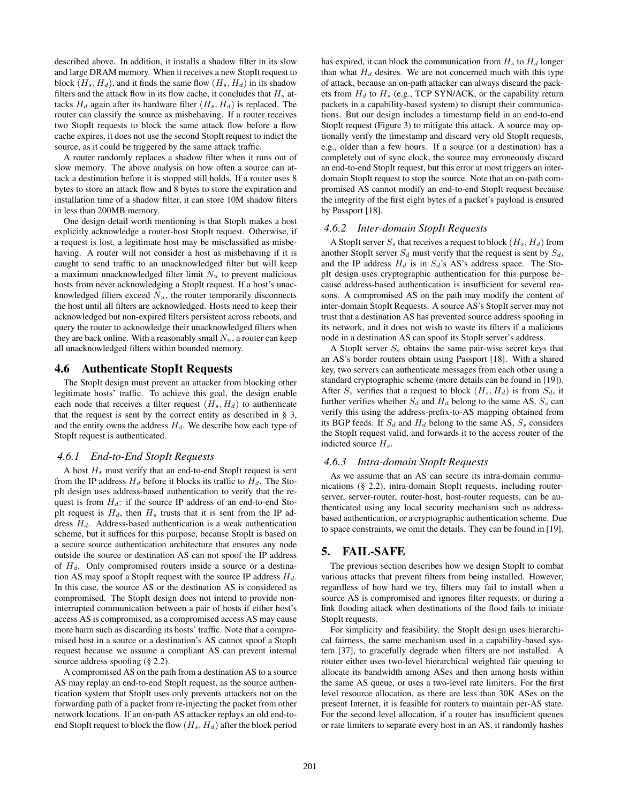described above. In addition, it installs a shadow filter in its slow and large DRAM memory. When it receives a new StopIt request to block  $(H_s, H_d)$ , and it finds the same flow  $(H_s, H_d)$  in its shadow filters and the attack flow in its flow cache, it concludes that *H<sup>s</sup>* attacks  $H_d$  again after its hardware filter  $(H_s, H_d)$  is replaced. The router can classify the source as misbehaving. If a router receives two StopIt requests to block the same attack flow before a flow cache expires, it does not use the second StopIt request to indict the source, as it could be triggered by the same attack traffic.

A router randomly replaces a shadow filter when it runs out of slow memory. The above analysis on how often a source can attack a destination before it is stopped still holds. If a router uses 8 bytes to store an attack flow and 8 bytes to store the expiration and installation time of a shadow filter, it can store 10M shadow filters in less than 200MB memory.

One design detail worth mentioning is that StopIt makes a host explicitly acknowledge a router-host StopIt request. Otherwise, if a request is lost, a legitimate host may be misclassified as misbehaving. A router will not consider a host as misbehaving if it is caught to send traffic to an unacknowledged filter but will keep a maximum unacknowledged filter limit *N<sup>u</sup>* to prevent malicious hosts from never acknowledging a StopIt request. If a host's unacknowledged filters exceed *Nu*, the router temporarily disconnects the host until all filters are acknowledged. Hosts need to keep their acknowledged but non-expired filters persistent across reboots, and query the router to acknowledge their unacknowledged filters when they are back online. With a reasonably small  $N_u$ , a router can keep all unacknowledged filters within bounded memory.

## **4.6 Authenticate StopIt Requests**

The StopIt design must prevent an attacker from blocking other legitimate hosts' traffic. To achieve this goal, the design enable each node that receives a filter request  $(H_s, H_d)$  to authenticate that the request is sent by the correct entity as described in § 3, and the entity owns the address *Hd*. We describe how each type of StopIt request is authenticated.

#### *4.6.1 End-to-End StopIt Requests*

A host *H<sup>s</sup>* must verify that an end-to-end StopIt request is sent from the IP address  $H_d$  before it blocks its traffic to  $H_d$ . The StopIt design uses address-based authentication to verify that the request is from  $H_d$ : if the source IP address of an end-to-end StopIt request is  $H_d$ , then  $H_s$  trusts that it is sent from the IP address *Hd*. Address-based authentication is a weak authentication scheme, but it suffices for this purpose, because StopIt is based on a secure source authentication architecture that ensures any node outside the source or destination AS can not spoof the IP address of *Hd*. Only compromised routers inside a source or a destination AS may spoof a StopIt request with the source IP address *Hd*. In this case, the source AS or the destination AS is considered as compromised. The StopIt design does not intend to provide noninterrupted communication between a pair of hosts if either host's access AS is compromised, as a compromised access AS may cause more harm such as discarding its hosts' traffic. Note that a compromised host in a source or a destination's AS cannot spoof a StopIt request because we assume a compliant AS can prevent internal source address spoofing (§ 2.2).

A compromised AS on the path from a destination AS to a source AS may replay an end-to-end StopIt request, as the source authentication system that StopIt uses only prevents attackers not on the forwarding path of a packet from re-injecting the packet from other network locations. If an on-path AS attacker replays an old end-toend StopIt request to block the flow (*Hs, Hd*) after the block period has expired, it can block the communication from  $H_s$  to  $H_d$  longer than what  $H_d$  desires. We are not concerned much with this type of attack, because an on-path attacker can always discard the packets from  $H_d$  to  $H_s$  (e.g., TCP SYN/ACK, or the capability return packets in a capability-based system) to disrupt their communications. But our design includes a timestamp field in an end-to-end StopIt request (Figure 3) to mitigate this attack. A source may optionally verify the timestamp and discard very old StopIt requests, e.g., older than a few hours. If a source (or a destination) has a completely out of sync clock, the source may erroneously discard an end-to-end StopIt request, but this error at most triggers an interdomain StopIt request to stop the source. Note that an on-path compromised AS cannot modify an end-to-end StopIt request because the integrity of the first eight bytes of a packet's payload is ensured by Passport [18].

#### *4.6.2 Inter-domain StopIt Requests*

A StopIt server  $S_s$  that receives a request to block  $(H_s, H_d)$  from another StopIt server  $S_d$  must verify that the request is sent by  $S_d$ , and the IP address  $H_d$  is in  $S_d$ 's AS's address space. The StopIt design uses cryptographic authentication for this purpose because address-based authentication is insufficient for several reasons. A compromised AS on the path may modify the content of inter-domain StopIt Requests. A source AS's StopIt server may not trust that a destination AS has prevented source address spoofing in its network, and it does not wish to waste its filters if a malicious node in a destination AS can spoof its StopIt server's address.

A StopIt server *S<sup>s</sup>* obtains the same pair-wise secret keys that an AS's border routers obtain using Passport [18]. With a shared key, two servers can authenticate messages from each other using a standard cryptographic scheme (more details can be found in [19]). After  $S_s$  verifies that a request to block  $(H_s, H_d)$  is from  $S_d$ , it further verifies whether  $S_d$  and  $H_d$  belong to the same AS.  $S_s$  can verify this using the address-prefix-to-AS mapping obtained from its BGP feeds. If  $S_d$  and  $H_d$  belong to the same AS,  $S_s$  considers the StopIt request valid, and forwards it to the access router of the indicted source *Hs*.

#### *4.6.3 Intra-domain StopIt Requests*

As we assume that an AS can secure its intra-domain communications (§ 2.2), intra-domain StopIt requests, including routerserver, server-router, router-host, host-router requests, can be authenticated using any local security mechanism such as addressbased authentication, or a cryptographic authentication scheme. Due to space constraints, we omit the details. They can be found in [19].

# **5. FAIL-SAFE**

The previous section describes how we design StopIt to combat various attacks that prevent filters from being installed. However, regardless of how hard we try, filters may fail to install when a source AS is compromised and ignores filter requests, or during a link flooding attack when destinations of the flood fails to initiate StopIt requests.

For simplicity and feasibility, the StopIt design uses hierarchical fairness, the same mechanism used in a capability-based system [37], to gracefully degrade when filters are not installed. A router either uses two-level hierarchical weighted fair queuing to allocate its bandwidth among ASes and then among hosts within the same AS queue, or uses a two-level rate limiters. For the first level resource allocation, as there are less than 30K ASes on the present Internet, it is feasible for routers to maintain per-AS state. For the second level allocation, if a router has insufficient queues or rate limiters to separate every host in an AS, it randomly hashes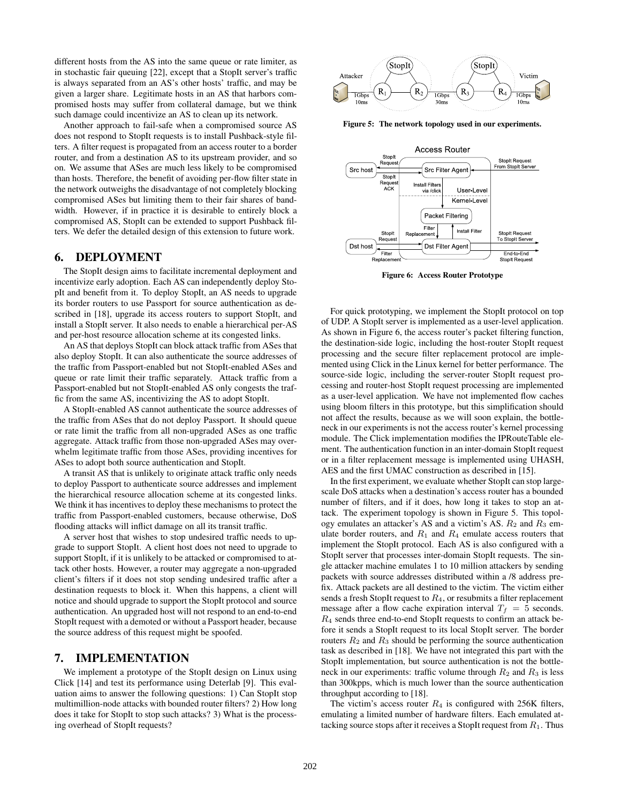different hosts from the AS into the same queue or rate limiter, as in stochastic fair queuing [22], except that a StopIt server's traffic is always separated from an AS's other hosts' traffic, and may be given a larger share. Legitimate hosts in an AS that harbors compromised hosts may suffer from collateral damage, but we think such damage could incentivize an AS to clean up its network.

Another approach to fail-safe when a compromised source AS does not respond to StopIt requests is to install Pushback-style filters. A filter request is propagated from an access router to a border router, and from a destination AS to its upstream provider, and so on. We assume that ASes are much less likely to be compromised than hosts. Therefore, the benefit of avoiding per-flow filter state in the network outweighs the disadvantage of not completely blocking compromised ASes but limiting them to their fair shares of bandwidth. However, if in practice it is desirable to entirely block a compromised AS, StopIt can be extended to support Pushback filters. We defer the detailed design of this extension to future work.

# **6. DEPLOYMENT**

The StopIt design aims to facilitate incremental deployment and incentivize early adoption. Each AS can independently deploy StopIt and benefit from it. To deploy StopIt, an AS needs to upgrade its border routers to use Passport for source authentication as described in [18], upgrade its access routers to support StopIt, and install a StopIt server. It also needs to enable a hierarchical per-AS and per-host resource allocation scheme at its congested links.

An AS that deploys StopIt can block attack traffic from ASes that also deploy StopIt. It can also authenticate the source addresses of the traffic from Passport-enabled but not StopIt-enabled ASes and queue or rate limit their traffic separately. Attack traffic from a Passport-enabled but not StopIt-enabled AS only congests the traffic from the same AS, incentivizing the AS to adopt StopIt.

A StopIt-enabled AS cannot authenticate the source addresses of the traffic from ASes that do not deploy Passport. It should queue or rate limit the traffic from all non-upgraded ASes as one traffic aggregate. Attack traffic from those non-upgraded ASes may overwhelm legitimate traffic from those ASes, providing incentives for ASes to adopt both source authentication and StopIt.

A transit AS that is unlikely to originate attack traffic only needs to deploy Passport to authenticate source addresses and implement the hierarchical resource allocation scheme at its congested links. We think it has incentives to deploy these mechanisms to protect the traffic from Passport-enabled customers, because otherwise, DoS flooding attacks will inflict damage on all its transit traffic.

A server host that wishes to stop undesired traffic needs to upgrade to support StopIt. A client host does not need to upgrade to support StopIt, if it is unlikely to be attacked or compromised to attack other hosts. However, a router may aggregate a non-upgraded client's filters if it does not stop sending undesired traffic after a destination requests to block it. When this happens, a client will notice and should upgrade to support the StopIt protocol and source authentication. An upgraded host will not respond to an end-to-end StopIt request with a demoted or without a Passport header, because the source address of this request might be spoofed.

# **7. IMPLEMENTATION**

We implement a prototype of the StopIt design on Linux using Click [14] and test its performance using Deterlab [9]. This evaluation aims to answer the following questions: 1) Can StopIt stop multimillion-node attacks with bounded router filters? 2) How long does it take for StopIt to stop such attacks? 3) What is the processing overhead of StopIt requests?



**Figure 5: The network topology used in our experiments.**



**Figure 6: Access Router Prototype**

For quick prototyping, we implement the StopIt protocol on top of UDP. A StopIt server is implemented as a user-level application. As shown in Figure 6, the access router's packet filtering function, the destination-side logic, including the host-router StopIt request processing and the secure filter replacement protocol are implemented using Click in the Linux kernel for better performance. The source-side logic, including the server-router StopIt request processing and router-host StopIt request processing are implemented as a user-level application. We have not implemented flow caches using bloom filters in this prototype, but this simplification should not affect the results, because as we will soon explain, the bottleneck in our experiments is not the access router's kernel processing module. The Click implementation modifies the IPRouteTable element. The authentication function in an inter-domain StopIt request or in a filter replacement message is implemented using UHASH, AES and the first UMAC construction as described in [15].

In the first experiment, we evaluate whether StopIt can stop largescale DoS attacks when a destination's access router has a bounded number of filters, and if it does, how long it takes to stop an attack. The experiment topology is shown in Figure 5. This topology emulates an attacker's AS and a victim's AS. *R*<sup>2</sup> and *R*<sup>3</sup> emulate border routers, and *R*<sup>1</sup> and *R*<sup>4</sup> emulate access routers that implement the StopIt protocol. Each AS is also configured with a StopIt server that processes inter-domain StopIt requests. The single attacker machine emulates 1 to 10 million attackers by sending packets with source addresses distributed within a /8 address prefix. Attack packets are all destined to the victim. The victim either sends a fresh StopIt request to *R*4, or resubmits a filter replacement message after a flow cache expiration interval  $T_f = 5$  seconds. *R*<sup>4</sup> sends three end-to-end StopIt requests to confirm an attack before it sends a StopIt request to its local StopIt server. The border routers  $R_2$  and  $R_3$  should be performing the source authentication task as described in [18]. We have not integrated this part with the StopIt implementation, but source authentication is not the bottleneck in our experiments: traffic volume through  $R_2$  and  $R_3$  is less than 300kpps, which is much lower than the source authentication throughput according to [18].

The victim's access router  $R_4$  is configured with 256K filters, emulating a limited number of hardware filters. Each emulated attacking source stops after it receives a StopIt request from *R*1. Thus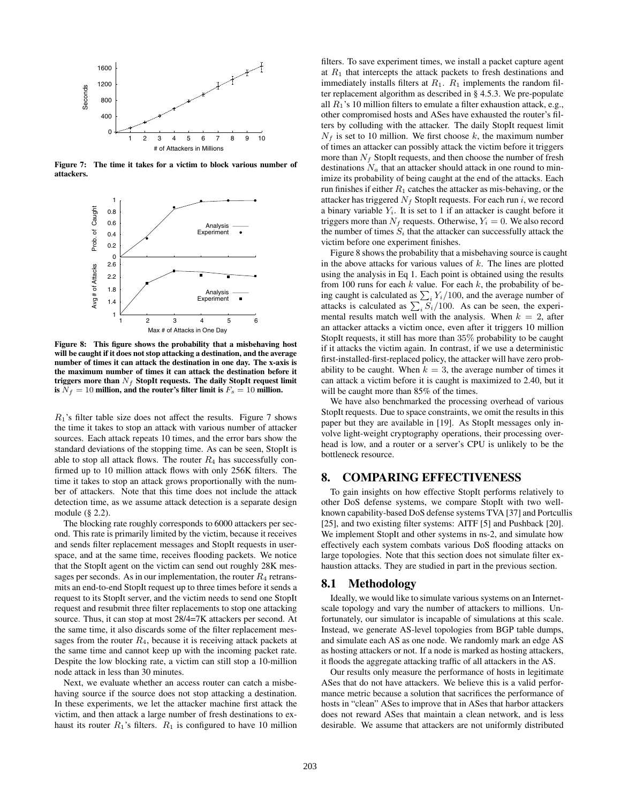

**Figure 7: The time it takes for a victim to block various number of attackers.**



**Figure 8: This figure shows the probability that a misbehaving host will be caught if it does not stop attacking a destination, and the average number of times it can attack the destination in one day. The x-axis is the maximum number of times it can attack the destination before it triggers more than** *Nf* **StopIt requests. The daily StopIt request limit is**  $N_f = 10$  **million, and the router's filter limit is**  $F_s = 10$  **million.** 

 $R_1$ 's filter table size does not affect the results. Figure 7 shows the time it takes to stop an attack with various number of attacker sources. Each attack repeats 10 times, and the error bars show the standard deviations of the stopping time. As can be seen, StopIt is able to stop all attack flows. The router  $R_4$  has successfully confirmed up to 10 million attack flows with only 256K filters. The time it takes to stop an attack grows proportionally with the number of attackers. Note that this time does not include the attack detection time, as we assume attack detection is a separate design module (§ 2.2).

The blocking rate roughly corresponds to 6000 attackers per second. This rate is primarily limited by the victim, because it receives and sends filter replacement messages and StopIt requests in userspace, and at the same time, receives flooding packets. We notice that the StopIt agent on the victim can send out roughly 28K messages per seconds. As in our implementation, the router  $R_4$  retransmits an end-to-end StopIt request up to three times before it sends a request to its StopIt server, and the victim needs to send one StopIt request and resubmit three filter replacements to stop one attacking source. Thus, it can stop at most 28/4=7K attackers per second. At the same time, it also discards some of the filter replacement messages from the router  $R_4$ , because it is receiving attack packets at the same time and cannot keep up with the incoming packet rate. Despite the low blocking rate, a victim can still stop a 10-million node attack in less than 30 minutes.

Next, we evaluate whether an access router can catch a misbehaving source if the source does not stop attacking a destination. In these experiments, we let the attacker machine first attack the victim, and then attack a large number of fresh destinations to exhaust its router  $R_1$ 's filters.  $R_1$  is configured to have 10 million filters. To save experiment times, we install a packet capture agent at  $R_1$  that intercepts the attack packets to fresh destinations and immediately installs filters at  $R_1$ .  $R_1$  implements the random filter replacement algorithm as described in § 4.5.3. We pre-populate all  $R_1$ 's 10 million filters to emulate a filter exhaustion attack, e.g., other compromised hosts and ASes have exhausted the router's filters by colluding with the attacker. The daily StopIt request limit  $N_f$  is set to 10 million. We first choose  $k$ , the maximum number of times an attacker can possibly attack the victim before it triggers more than  $N_f$  StopIt requests, and then choose the number of fresh destinations  $N_a$  that an attacker should attack in one round to minimize its probability of being caught at the end of the attacks. Each run finishes if either *R*<sup>1</sup> catches the attacker as mis-behaving, or the attacker has triggered  $N_f$  StopIt requests. For each run  $i$ , we record a binary variable  $Y_i$ . It is set to 1 if an attacker is caught before it triggers more than  $N_f$  requests. Otherwise,  $Y_i = 0$ . We also record the number of times  $S_i$  that the attacker can successfully attack the victim before one experiment finishes.

Figure 8 shows the probability that a misbehaving source is caught in the above attacks for various values of *k*. The lines are plotted using the analysis in Eq 1. Each point is obtained using the results from 100 runs for each *k* value. For each *k*, the probability of being caught is calculated as  $\sum_i Y_i/100$ , and the average number of attacks is calculated as  $\sum_i S_i/100$ . As can be seen, the experimental results match well with the analysis. When  $k = 2$ , after an attacker attacks a victim once, even after it triggers 10 million StopIt requests, it still has more than 35% probability to be caught if it attacks the victim again. In contrast, if we use a deterministic first-installed-first-replaced policy, the attacker will have zero probability to be caught. When  $k = 3$ , the average number of times it can attack a victim before it is caught is maximized to 2.40, but it will be caught more than 85% of the times.

We have also benchmarked the processing overhead of various StopIt requests. Due to space constraints, we omit the results in this paper but they are available in [19]. As StopIt messages only involve light-weight cryptography operations, their processing overhead is low, and a router or a server's CPU is unlikely to be the bottleneck resource.

# **8. COMPARING EFFECTIVENESS**

To gain insights on how effective StopIt performs relatively to other DoS defense systems, we compare StopIt with two wellknown capability-based DoS defense systems TVA [37] and Portcullis [25], and two existing filter systems: AITF [5] and Pushback [20]. We implement StopIt and other systems in ns-2, and simulate how effectively each system combats various DoS flooding attacks on large topologies. Note that this section does not simulate filter exhaustion attacks. They are studied in part in the previous section.

# **8.1 Methodology**

Ideally, we would like to simulate various systems on an Internetscale topology and vary the number of attackers to millions. Unfortunately, our simulator is incapable of simulations at this scale. Instead, we generate AS-level topologies from BGP table dumps, and simulate each AS as one node. We randomly mark an edge AS as hosting attackers or not. If a node is marked as hosting attackers, it floods the aggregate attacking traffic of all attackers in the AS.

Our results only measure the performance of hosts in legitimate ASes that do not have attackers. We believe this is a valid performance metric because a solution that sacrifices the performance of hosts in "clean" ASes to improve that in ASes that harbor attackers does not reward ASes that maintain a clean network, and is less desirable. We assume that attackers are not uniformly distributed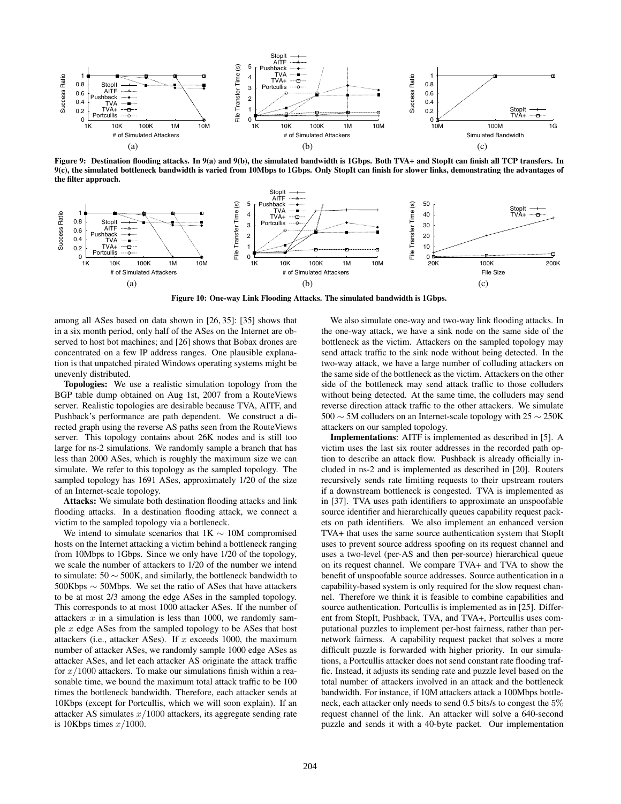

**Figure 9: Destination flooding attacks. In 9(a) and 9(b), the simulated bandwidth is 1Gbps. Both TVA+ and StopIt can finish all TCP transfers. In 9(c), the simulated bottleneck bandwidth is varied from 10Mbps to 1Gbps. Only StopIt can finish for slower links, demonstrating the advantages of the filter approach.**



**Figure 10: One-way Link Flooding Attacks. The simulated bandwidth is 1Gbps.**

among all ASes based on data shown in [26, 35]: [35] shows that in a six month period, only half of the ASes on the Internet are observed to host bot machines; and [26] shows that Bobax drones are concentrated on a few IP address ranges. One plausible explanation is that unpatched pirated Windows operating systems might be unevenly distributed.

**Topologies:** We use a realistic simulation topology from the BGP table dump obtained on Aug 1st, 2007 from a RouteViews server. Realistic topologies are desirable because TVA, AITF, and Pushback's performance are path dependent. We construct a directed graph using the reverse AS paths seen from the RouteViews server. This topology contains about 26K nodes and is still too large for ns-2 simulations. We randomly sample a branch that has less than 2000 ASes, which is roughly the maximum size we can simulate. We refer to this topology as the sampled topology. The sampled topology has 1691 ASes, approximately 1/20 of the size of an Internet-scale topology.

**Attacks:** We simulate both destination flooding attacks and link flooding attacks. In a destination flooding attack, we connect a victim to the sampled topology via a bottleneck.

We intend to simulate scenarios that  $1K \sim 10M$  compromised hosts on the Internet attacking a victim behind a bottleneck ranging from 10Mbps to 1Gbps. Since we only have 1/20 of the topology, we scale the number of attackers to 1/20 of the number we intend to simulate: 50 ∼ 500K, and similarly, the bottleneck bandwidth to 500Kbps ∼ 50Mbps. We set the ratio of ASes that have attackers to be at most 2/3 among the edge ASes in the sampled topology. This corresponds to at most 1000 attacker ASes. If the number of attackers *x* in a simulation is less than 1000, we randomly sample *x* edge ASes from the sampled topology to be ASes that host attackers (i.e., attacker ASes). If *x* exceeds 1000, the maximum number of attacker ASes, we randomly sample 1000 edge ASes as attacker ASes, and let each attacker AS originate the attack traffic for *x/*1000 attackers. To make our simulations finish within a reasonable time, we bound the maximum total attack traffic to be 100 times the bottleneck bandwidth. Therefore, each attacker sends at 10Kbps (except for Portcullis, which we will soon explain). If an attacker AS simulates *x/*1000 attackers, its aggregate sending rate is 10Kbps times *x/*1000.

We also simulate one-way and two-way link flooding attacks. In the one-way attack, we have a sink node on the same side of the bottleneck as the victim. Attackers on the sampled topology may send attack traffic to the sink node without being detected. In the two-way attack, we have a large number of colluding attackers on the same side of the bottleneck as the victim. Attackers on the other side of the bottleneck may send attack traffic to those colluders without being detected. At the same time, the colluders may send reverse direction attack traffic to the other attackers. We simulate 500  $\sim$  5M colluders on an Internet-scale topology with 25  $\sim$  250K attackers on our sampled topology.

**Implementations**: AITF is implemented as described in [5]. A victim uses the last six router addresses in the recorded path option to describe an attack flow. Pushback is already officially included in ns-2 and is implemented as described in [20]. Routers recursively sends rate limiting requests to their upstream routers if a downstream bottleneck is congested. TVA is implemented as in [37]. TVA uses path identifiers to approximate an unspoofable source identifier and hierarchically queues capability request packets on path identifiers. We also implement an enhanced version TVA+ that uses the same source authentication system that StopIt uses to prevent source address spoofing on its request channel and uses a two-level (per-AS and then per-source) hierarchical queue on its request channel. We compare TVA+ and TVA to show the benefit of unspoofable source addresses. Source authentication in a capability-based system is only required for the slow request channel. Therefore we think it is feasible to combine capabilities and source authentication. Portcullis is implemented as in [25]. Different from StopIt, Pushback, TVA, and TVA+, Portcullis uses computational puzzles to implement per-host fairness, rather than pernetwork fairness. A capability request packet that solves a more difficult puzzle is forwarded with higher priority. In our simulations, a Portcullis attacker does not send constant rate flooding traffic. Instead, it adjusts its sending rate and puzzle level based on the total number of attackers involved in an attack and the bottleneck bandwidth. For instance, if 10M attackers attack a 100Mbps bottleneck, each attacker only needs to send 0.5 bits/s to congest the 5% request channel of the link. An attacker will solve a 640-second puzzle and sends it with a 40-byte packet. Our implementation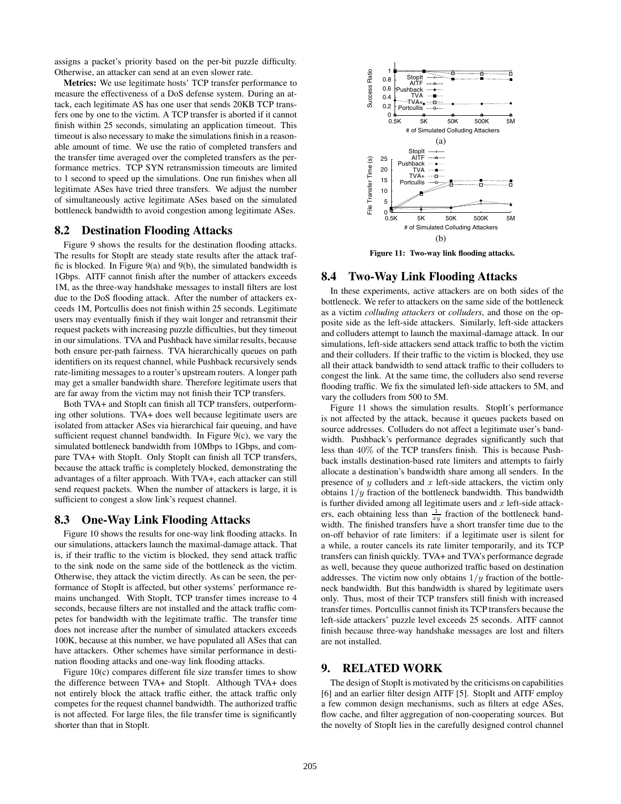assigns a packet's priority based on the per-bit puzzle difficulty. Otherwise, an attacker can send at an even slower rate.

**Metrics:** We use legitimate hosts' TCP transfer performance to measure the effectiveness of a DoS defense system. During an attack, each legitimate AS has one user that sends 20KB TCP transfers one by one to the victim. A TCP transfer is aborted if it cannot finish within 25 seconds, simulating an application timeout. This timeout is also necessary to make the simulations finish in a reasonable amount of time. We use the ratio of completed transfers and the transfer time averaged over the completed transfers as the performance metrics. TCP SYN retransmission timeouts are limited to 1 second to speed up the simulations. One run finishes when all legitimate ASes have tried three transfers. We adjust the number of simultaneously active legitimate ASes based on the simulated bottleneck bandwidth to avoid congestion among legitimate ASes.

## **8.2 Destination Flooding Attacks**

Figure 9 shows the results for the destination flooding attacks. The results for StopIt are steady state results after the attack traffic is blocked. In Figure 9(a) and 9(b), the simulated bandwidth is 1Gbps. AITF cannot finish after the number of attackers exceeds 1M, as the three-way handshake messages to install filters are lost due to the DoS flooding attack. After the number of attackers exceeds 1M, Portcullis does not finish within 25 seconds. Legitimate users may eventually finish if they wait longer and retransmit their request packets with increasing puzzle difficulties, but they timeout in our simulations. TVA and Pushback have similar results, because both ensure per-path fairness. TVA hierarchically queues on path identifiers on its request channel, while Pushback recursively sends rate-limiting messages to a router's upstream routers. A longer path may get a smaller bandwidth share. Therefore legitimate users that are far away from the victim may not finish their TCP transfers.

Both TVA+ and StopIt can finish all TCP transfers, outperforming other solutions. TVA+ does well because legitimate users are isolated from attacker ASes via hierarchical fair queuing, and have sufficient request channel bandwidth. In Figure 9(c), we vary the simulated bottleneck bandwidth from 10Mbps to 1Gbps, and compare TVA+ with StopIt. Only StopIt can finish all TCP transfers, because the attack traffic is completely blocked, demonstrating the advantages of a filter approach. With TVA+, each attacker can still send request packets. When the number of attackers is large, it is sufficient to congest a slow link's request channel.

# **8.3 One-Way Link Flooding Attacks**

Figure 10 shows the results for one-way link flooding attacks. In our simulations, attackers launch the maximal-damage attack. That is, if their traffic to the victim is blocked, they send attack traffic to the sink node on the same side of the bottleneck as the victim. Otherwise, they attack the victim directly. As can be seen, the performance of StopIt is affected, but other systems' performance remains unchanged. With StopIt, TCP transfer times increase to 4 seconds, because filters are not installed and the attack traffic competes for bandwidth with the legitimate traffic. The transfer time does not increase after the number of simulated attackers exceeds 100K, because at this number, we have populated all ASes that can have attackers. Other schemes have similar performance in destination flooding attacks and one-way link flooding attacks.

Figure 10(c) compares different file size transfer times to show the difference between TVA+ and StopIt. Although TVA+ does not entirely block the attack traffic either, the attack traffic only competes for the request channel bandwidth. The authorized traffic is not affected. For large files, the file transfer time is significantly shorter than that in StopIt.



**Figure 11: Two-way link flooding attacks.**

## **8.4 Two-Way Link Flooding Attacks**

In these experiments, active attackers are on both sides of the bottleneck. We refer to attackers on the same side of the bottleneck as a victim *colluding attackers* or *colluders*, and those on the opposite side as the left-side attackers. Similarly, left-side attackers and colluders attempt to launch the maximal-damage attack. In our simulations, left-side attackers send attack traffic to both the victim and their colluders. If their traffic to the victim is blocked, they use all their attack bandwidth to send attack traffic to their colluders to congest the link. At the same time, the colluders also send reverse flooding traffic. We fix the simulated left-side attackers to 5M, and vary the colluders from 500 to 5M.

Figure 11 shows the simulation results. StopIt's performance is not affected by the attack, because it queues packets based on source addresses. Colluders do not affect a legitimate user's bandwidth. Pushback's performance degrades significantly such that less than 40% of the TCP transfers finish. This is because Pushback installs destination-based rate limiters and attempts to fairly allocate a destination's bandwidth share among all senders. In the presence of *y* colluders and *x* left-side attackers, the victim only obtains 1*/y* fraction of the bottleneck bandwidth. This bandwidth is further divided among all legitimate users and *x* left-side attackers, each obtaining less than  $\frac{1}{x^y}$  fraction of the bottleneck bandwidth. The finished transfers have a short transfer time due to the on-off behavior of rate limiters: if a legitimate user is silent for a while, a router cancels its rate limiter temporarily, and its TCP transfers can finish quickly. TVA+ and TVA's performance degrade as well, because they queue authorized traffic based on destination addresses. The victim now only obtains 1*/y* fraction of the bottleneck bandwidth. But this bandwidth is shared by legitimate users only. Thus, most of their TCP transfers still finish with increased transfer times. Portcullis cannot finish its TCP transfers because the left-side attackers' puzzle level exceeds 25 seconds. AITF cannot finish because three-way handshake messages are lost and filters are not installed.

# **9. RELATED WORK**

The design of StopIt is motivated by the criticisms on capabilities [6] and an earlier filter design AITF [5]. StopIt and AITF employ a few common design mechanisms, such as filters at edge ASes, flow cache, and filter aggregation of non-cooperating sources. But the novelty of StopIt lies in the carefully designed control channel